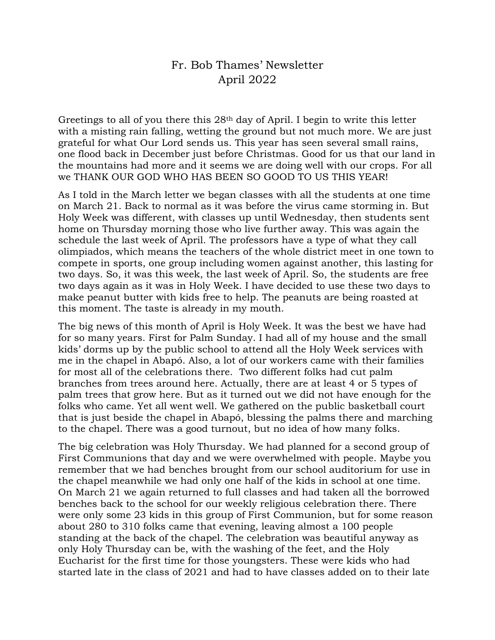## Fr. Bob Thames' Newsletter April 2022

Greetings to all of you there this 28th day of April. I begin to write this letter with a misting rain falling, wetting the ground but not much more. We are just grateful for what Our Lord sends us. This year has seen several small rains, one flood back in December just before Christmas. Good for us that our land in the mountains had more and it seems we are doing well with our crops. For all we THANK OUR GOD WHO HAS BEEN SO GOOD TO US THIS YEAR!

As I told in the March letter we began classes with all the students at one time on March 21. Back to normal as it was before the virus came storming in. But Holy Week was different, with classes up until Wednesday, then students sent home on Thursday morning those who live further away. This was again the schedule the last week of April. The professors have a type of what they call olimpiados, which means the teachers of the whole district meet in one town to compete in sports, one group including women against another, this lasting for two days. So, it was this week, the last week of April. So, the students are free two days again as it was in Holy Week. I have decided to use these two days to make peanut butter with kids free to help. The peanuts are being roasted at this moment. The taste is already in my mouth.

The big news of this month of April is Holy Week. It was the best we have had for so many years. First for Palm Sunday. I had all of my house and the small kids' dorms up by the public school to attend all the Holy Week services with me in the chapel in Abapó. Also, a lot of our workers came with their families for most all of the celebrations there. Two different folks had cut palm branches from trees around here. Actually, there are at least 4 or 5 types of palm trees that grow here. But as it turned out we did not have enough for the folks who came. Yet all went well. We gathered on the public basketball court that is just beside the chapel in Abapó, blessing the palms there and marching to the chapel. There was a good turnout, but no idea of how many folks.

The big celebration was Holy Thursday. We had planned for a second group of First Communions that day and we were overwhelmed with people. Maybe you remember that we had benches brought from our school auditorium for use in the chapel meanwhile we had only one half of the kids in school at one time. On March 21 we again returned to full classes and had taken all the borrowed benches back to the school for our weekly religious celebration there. There were only some 23 kids in this group of First Communion, but for some reason about 280 to 310 folks came that evening, leaving almost a 100 people standing at the back of the chapel. The celebration was beautiful anyway as only Holy Thursday can be, with the washing of the feet, and the Holy Eucharist for the first time for those youngsters. These were kids who had started late in the class of 2021 and had to have classes added on to their late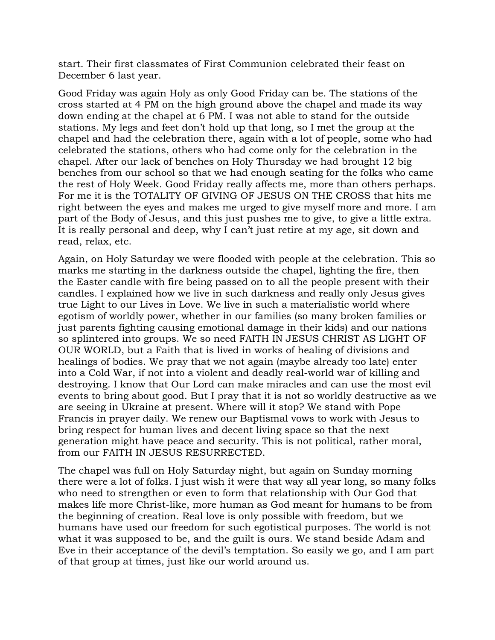start. Their first classmates of First Communion celebrated their feast on December 6 last year.

Good Friday was again Holy as only Good Friday can be. The stations of the cross started at 4 PM on the high ground above the chapel and made its way down ending at the chapel at 6 PM. I was not able to stand for the outside stations. My legs and feet don't hold up that long, so I met the group at the chapel and had the celebration there, again with a lot of people, some who had celebrated the stations, others who had come only for the celebration in the chapel. After our lack of benches on Holy Thursday we had brought 12 big benches from our school so that we had enough seating for the folks who came the rest of Holy Week. Good Friday really affects me, more than others perhaps. For me it is the TOTALITY OF GIVING OF JESUS ON THE CROSS that hits me right between the eyes and makes me urged to give myself more and more. I am part of the Body of Jesus, and this just pushes me to give, to give a little extra. It is really personal and deep, why I can't just retire at my age, sit down and read, relax, etc.

Again, on Holy Saturday we were flooded with people at the celebration. This so marks me starting in the darkness outside the chapel, lighting the fire, then the Easter candle with fire being passed on to all the people present with their candles. I explained how we live in such darkness and really only Jesus gives true Light to our Lives in Love. We live in such a materialistic world where egotism of worldly power, whether in our families (so many broken families or just parents fighting causing emotional damage in their kids) and our nations so splintered into groups. We so need FAITH IN JESUS CHRIST AS LIGHT OF OUR WORLD, but a Faith that is lived in works of healing of divisions and healings of bodies. We pray that we not again (maybe already too late) enter into a Cold War, if not into a violent and deadly real-world war of killing and destroying. I know that Our Lord can make miracles and can use the most evil events to bring about good. But I pray that it is not so worldly destructive as we are seeing in Ukraine at present. Where will it stop? We stand with Pope Francis in prayer daily. We renew our Baptismal vows to work with Jesus to bring respect for human lives and decent living space so that the next generation might have peace and security. This is not political, rather moral, from our FAITH IN JESUS RESURRECTED.

The chapel was full on Holy Saturday night, but again on Sunday morning there were a lot of folks. I just wish it were that way all year long, so many folks who need to strengthen or even to form that relationship with Our God that makes life more Christ-like, more human as God meant for humans to be from the beginning of creation. Real love is only possible with freedom, but we humans have used our freedom for such egotistical purposes. The world is not what it was supposed to be, and the guilt is ours. We stand beside Adam and Eve in their acceptance of the devil's temptation. So easily we go, and I am part of that group at times, just like our world around us.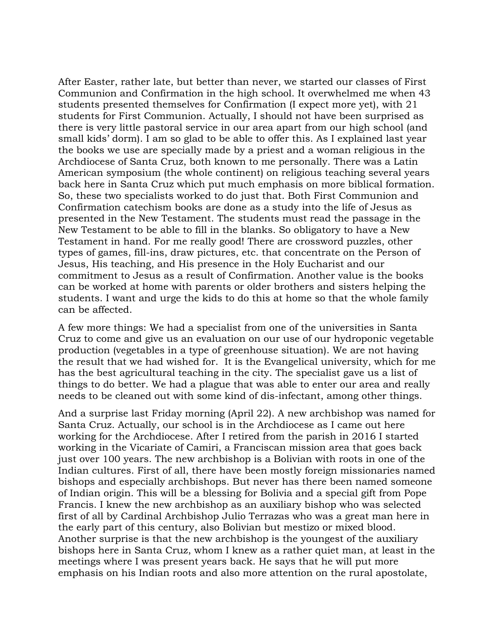After Easter, rather late, but better than never, we started our classes of First Communion and Confirmation in the high school. It overwhelmed me when 43 students presented themselves for Confirmation (I expect more yet), with 21 students for First Communion. Actually, I should not have been surprised as there is very little pastoral service in our area apart from our high school (and small kids' dorm). I am so glad to be able to offer this. As I explained last year the books we use are specially made by a priest and a woman religious in the Archdiocese of Santa Cruz, both known to me personally. There was a Latin American symposium (the whole continent) on religious teaching several years back here in Santa Cruz which put much emphasis on more biblical formation. So, these two specialists worked to do just that. Both First Communion and Confirmation catechism books are done as a study into the life of Jesus as presented in the New Testament. The students must read the passage in the New Testament to be able to fill in the blanks. So obligatory to have a New Testament in hand. For me really good! There are crossword puzzles, other types of games, fill-ins, draw pictures, etc. that concentrate on the Person of Jesus, His teaching, and His presence in the Holy Eucharist and our commitment to Jesus as a result of Confirmation. Another value is the books can be worked at home with parents or older brothers and sisters helping the students. I want and urge the kids to do this at home so that the whole family can be affected.

A few more things: We had a specialist from one of the universities in Santa Cruz to come and give us an evaluation on our use of our hydroponic vegetable production (vegetables in a type of greenhouse situation). We are not having the result that we had wished for. It is the Evangelical university, which for me has the best agricultural teaching in the city. The specialist gave us a list of things to do better. We had a plague that was able to enter our area and really needs to be cleaned out with some kind of dis-infectant, among other things.

And a surprise last Friday morning (April 22). A new archbishop was named for Santa Cruz. Actually, our school is in the Archdiocese as I came out here working for the Archdiocese. After I retired from the parish in 2016 I started working in the Vicariate of Camiri, a Franciscan mission area that goes back just over 100 years. The new archbishop is a Bolivian with roots in one of the Indian cultures. First of all, there have been mostly foreign missionaries named bishops and especially archbishops. But never has there been named someone of Indian origin. This will be a blessing for Bolivia and a special gift from Pope Francis. I knew the new archbishop as an auxiliary bishop who was selected first of all by Cardinal Archbishop Julio Terrazas who was a great man here in the early part of this century, also Bolivian but mestizo or mixed blood. Another surprise is that the new archbishop is the youngest of the auxiliary bishops here in Santa Cruz, whom I knew as a rather quiet man, at least in the meetings where I was present years back. He says that he will put more emphasis on his Indian roots and also more attention on the rural apostolate,